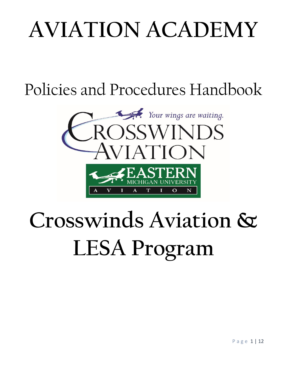# **AVIATION ACADEMY**

Policies and Procedures Handbook



# **Crosswinds Aviation & LESA Program**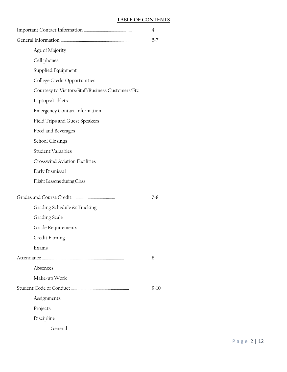### **TABLE OF CONTENTS**

|                                                   | $\overline{4}$ |
|---------------------------------------------------|----------------|
|                                                   | $5 - 7$        |
| Age of Majority                                   |                |
| Cell phones                                       |                |
| Supplied Equipment                                |                |
| College Credit Opportunities                      |                |
| Courtesy to Visitors/Staff/Business Customers/Etc |                |
| Laptops/Tablets                                   |                |
| <b>Emergency Contact Information</b>              |                |
| Field Trips and Guest Speakers                    |                |
| Food and Beverages                                |                |
| School Closings                                   |                |
| Student Valuables                                 |                |
| <b>Crosswind Aviation Facilities</b>              |                |
| Early Dismissal                                   |                |
| Flight Lessons during Class                       |                |
|                                                   | $7 - 8$        |
| Grading Schedule & Tracking                       |                |
| Grading Scale                                     |                |
| Grade Requirements                                |                |
| Credit Earning                                    |                |
| Exams                                             |                |
|                                                   | 8              |
| Absences                                          |                |
| Make-up Work                                      |                |
|                                                   | $9-10$         |
| Assignments                                       |                |
| Projects                                          |                |
| Discipline                                        |                |
| General                                           |                |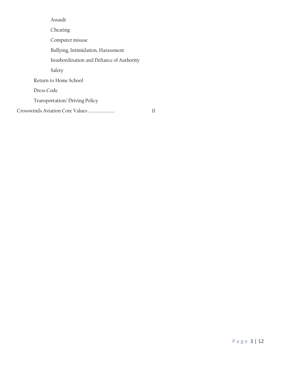Assault Cheating Computer misuse Bullying, Intimidation, Harassment Insubordination and Defiance of Authority Safety Return to Home School Dress Code Transportation/ Driving Policy Crosswinds Aviation Core Values …………………….. 11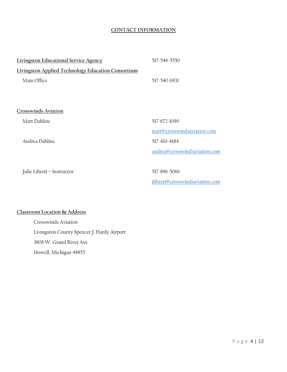#### **CONTACT INFORMATION**

| <b>Livingston Educational Service Agency</b>       | 517-546-5550                    |
|----------------------------------------------------|---------------------------------|
| Livingston Applied Technology Education Consortium |                                 |
| Main Office                                        | 517-540-6831                    |
|                                                    |                                 |
|                                                    |                                 |
| Crosswinds Aviation                                |                                 |
| Matt Dahline                                       | 517-672-1099                    |
|                                                    | matt@crosswindsaviation.com     |
| Andrea Dahline                                     | 517-410-4184                    |
|                                                    | andrea@crosswindsaviation.com   |
|                                                    |                                 |
| Julie Liberti - Instructor                         | 517-896-5066                    |
|                                                    | jliberti@crosswindsaviation.com |

## **Classroom Location & Address**

Crosswinds Aviation Livingston County Spencer J. Hardy Airport 3808 W. Grand River Ave. Howell, Michigan 48855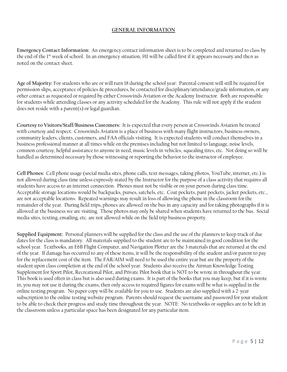#### **GENERAL INFORMATION**

**Emergency Contact Information:** An emergency contact information sheet is to be completed and returned to class by the end of the 1<sup>st</sup> week of school. In an emergency situation, 911 will be called first if it appears necessary and then as noted on the contact sheet.

**Age of Majority:** For students who are or will turn 18 during the school year: Parental consent will still be required for permission slips, acceptance of policies & procedures, be contacted for disciplinary/attendance/grade information, or any other contact as requested or required by either Crosswinds Aviation or the Academy Instructor. Both are responsible for students while attending classes or any activity scheduled for the Academy. This rule will not apply if the student does not reside with a parent(s) or legal guardian.

**Courtesy to Visitors/Staff/Business Customers:** It is expected that every person at Crosswinds Aviation be treated with courtesy and respect. Crosswinds Aviation is a place of business with many flight instructors, business owners, community leaders, clients, customers, and FAA officials visiting. It is expected students will conduct themselves in a business professional manner at all times while on the premises including but not limited to language, noise levels, common courtesy, helpful assistance to anyone in need, music levels in vehicles, squealing tires, etc. Not doing so will be handled as determined necessary by those witnessing or reporting the behavior to the instructor of employee.

**Cell Phones:** Cell phone usage (social media sites, phone calls, text messages, taking photos, YouTube, internet, etc.) is not allowed during class time unless expressly stated by the Instructor for the purpose of a class activity that requires all students have access to an internet connection. Phones must not be visible or on your person during class time. Acceptable storage locations would be backpacks, purses, satchels, etc. Coat pockets, pant pockets, jacket pockets, etc., are not acceptable locations. Repeated warnings may result in loss of allowing the phone in the classroom for the remainder of the year. During field trips, phones are allowed on the bus in any capacity and for taking photographs if it is allowed at the business we are visiting. Those photos may only be shared when students have returned to the bus. Social media sites, texting, emailing, etc. are not allowed while on the field trip business property.

**Supplied Equipment:** Personal planners will be supplied for the class and the use of the planners to keep track of due dates for the class is mandatory. All materials supplied to the student are to be maintained in good condition for the school year. Textbooks, an E6B Flight Computer, and Navigation Plotter are the 3 materials that are returned at the end of the year. If damage has occurred to any of these items, it will be the responsibility of the student and/or parent to pay for the replacement cost of the item. The FAR/AIM will need to be used the entire year but are the property of the student upon class completion at the end of the school year. Students also receive the Airman Knowledge Testing Supplement for Sport Pilot, Recreational Pilot, and Private Pilot book that is NOT to be wrote in throughout the year. This book is used often in class but is also used during exams. It is part of the books that you may keep, but if it is wrote in, you may not use it during the exams; then only access to required figures for exams will be what is supplied in the online testing program. No paper copy will be available for you to use. Students are also supplied with a 2-year subscription to the online testing website program. Parents should request the username and password for your student to be able to check their progress and study time throughout the year. NOTE: No textbooks or supplies are to be left in the classroom unless a particular space has been designated for any particular item.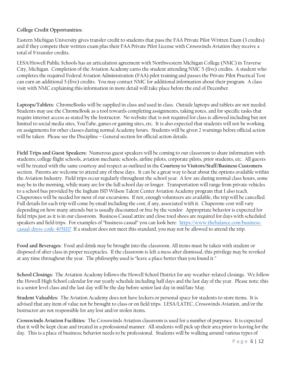## **College Credit Opportunities:**

Eastern Michigan University gives transfer credit to students that pass the FAA Private Pilot Written Exam (3 credits) and if they compete their written exam plus their FAA Private Pilot License with Crosswinds Aviation they receive a total of 9 transfer credits.

LESA/Howell Public Schools has an articulation agreement with Northwestern Michigan College (NMC) in Traverse City, Michigan. Completion of the Aviation Academy earns the student attending NMC 5 (five) credits. A student who completes the required Federal Aviation Administration (FAA) pilot training and passes the Private Pilot Practical Test can earn an additional 5 (five) credits. You may contact NMC for additional information about their program. A class visit with NMC explaining this information in more detail will take place before the end of December.

**Laptops/Tablets:** ChromeBooks will be supplied in class and used in class. Outside laptops and tablets are not needed. Students may use the ChromeBook as a tool towards completing assignments, taking notes, and for specific tasks that require internet access as stated by the Instructor. No website that is not required for class is allowed including but not limited to social media sites, YouTube, games or gaming sites, etc. It is also expected that students will not be working on assignments for other classes during normal Academy hours. Students will be given 2 warnings before official action will be taken. Please see the Discipline – General section for official action details.

**Field Trips and Guest Speakers:** Numerous guest speakers will be coming to our classroom to share information with students; college flight schools, aviation mechanic schools, airline pilots, corporate pilots, prior students, etc. All guests will be treated with the same courtesy and respect as outlined in the **Courtesy to Visitors/Staff/Business Customers** section. Parents are welcome to attend any of these days. It can be a great way to hear about the options available within the Aviation Industry. Field trips occur regularly throughout the school year. A few are during normal class hours, some may be in the morning, while many are for the full school day or longer. Transportation will range from private vehicles to a school bus provided by the Ingham ISD Wilson Talent Center Aviation Academy program that I also teach. Chaperones will be needed for most of our excursions. If not, enough volunteers are available, the trip will be cancelled. Full details for each trip will come by email including the cost, if any, associated with it. Chaperone cost will vary depending on how many attends but is usually discounted or free by the vendor. Appropriate behavior is expected for field trips just as it is in our classroom. Business Casual attire and close toed shoes are required for days with scheduled speakers and field trips. For examples of "business casual" you can look here: [https://www.thebalance.com/business](https://www.thebalance.com/business-casual-dress-code-4051117)[casual-dress-code-4051117](https://www.thebalance.com/business-casual-dress-code-4051117) If a student does not meet this standard, you may not be allowed to attend the trip.

**Food and Beverages:** Food and drink may be brought into the classroom. All items must be taken with student or disposed of after class in proper receptacles. If the classroom is left a mess after dismissal, this privilege may be revoked at any time throughout the year. The philosophy used is "leave a place better than you found it."

**School Closings:** The Aviation Academy follows the Howell School District for any weather-related closings. We follow the Howell High School calendar for our yearly schedule including half days and the last day of the year. Please note; this is a senior level class and the last day will be the day before senior last day in mid/late May.

**Student Valuables:** The Aviation Academy does not have lockers or personal space for students to store items. It is advised that any item of value not be brought to class or on field trips. LESA/LATEC, Crosswinds Aviation, and/or the Instructor are not responsible for any lost and/or stolen items.

**Crosswinds Aviation Facilities:** The Crosswinds Aviation classroom is used for a number of purposes. It is expected that it will be kept clean and treated in a professional manner. All students will pick up their area prior to leaving for the day. This is a place of business; behavior needs to be professional. Students will be walking around various types of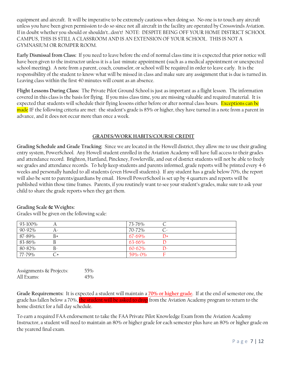equipment and aircraft. It will be imperative to be extremely cautious when doing so. No one is to touch any aircraft unless you have been given permission to do so since not all aircraft in the facility are operated by Crosswinds Aviation. If in doubt whether you should or shouldn't…don't! NOTE: DESPITE BEING OFF YOUR HOME DISTRICT SCHOOL CAMPUS, THIS IS STILL A CLASSROOM AND IS AN EXTENSION OF YOUR SCHOOL. THIS IS NOT A GYMNASIUM OR ROMPER ROOM.

**Early Dismissal from Class:** If you need to leave before the end of normal class time it is expected that prior notice will have been given to the instructor unless it is a last-minute appointment (such as a medical appointment or unexpected school meeting). A note from a parent, coach, counselor, or school will be required in order to leave early. It is the responsibility of the student to know what will be missed in class and make sure any assignment that is due is turned in. Leaving class within the first 40 minutes will count as an absence.

**Flight Lessons During Class:** The Private Pilot Ground School is just as important as a flight lesson. The information covered in this class is the basis for flying. If you miss class time, you are missing valuable and required material. It is expected that students will schedule their flying lessons either before or after normal class hours. Exceptions can be made IF the following criteria are met: the student's grade is 85% or higher, they have turned in a note from a parent in advance, and it does not occur more than once a week.

#### **GRADES/WORK HABITS/COURSE CREDIT**

**Grading Schedule and Grade Tracking:** Since we are located in the Howell district, they allow me to use their grading entry system, PowerSchool. Any Howell student enrolled in the Aviation Academy will have full access to their grades and attendance record. Brighton, Hartland, Pinckney, Fowlerville, and out of district students will not be able to freely see grades and attendance records. To help keep students and parents informed, grade reports will be printed every 4-6 weeks and personally handed to all students (even Howell students). If any student has a grade below 70%, the report will also be sent to parents/guardians by email. Howell PowerSchool is set up by 4 quarters and reports will be published within those time frames. Parents, if you routinely want to see your student's grades, make sure to ask your child to share the grade reports when they get them.

#### **Grading Scale & Weights:**

Grades will be given on the following scale:

| 93-100% |    | 73-76%      |                |
|---------|----|-------------|----------------|
| 90-92%  |    | 70-72%      |                |
| 87-89%  | В+ | 67-69%      | $\mathsf{D}^+$ |
| 83-86%  |    | $63 - 66\%$ |                |
| 80-82%  |    | $60 - 62\%$ |                |
| 77-79%  |    | 59%-0%      |                |

| Assignments & Projects: | 55% |
|-------------------------|-----|
| All Exams:              | 45% |

**Grade Requirements:** It is expected a student will maintain a **70% or higher grade**. If at the end of semester one, the grade has fallen below a 70%, the student will be asked to drop from the Aviation Academy program to return to the home district for a full day schedule.

To earn a required FAA endorsement to take the FAA Private Pilot Knowledge Exam from the Aviation Academy Instructor, a student will need to maintain an 80% or higher grade for each semester plus have an 80% or higher grade on the yearend final exam.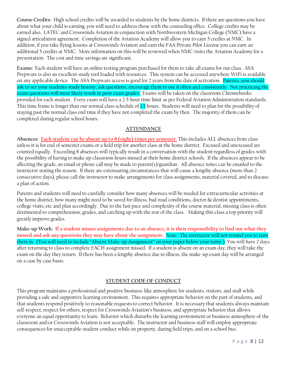**Course Credits:** High school credits will be awarded to students by the home districts. If there are questions you have about what your child is earning, you will need to address those with the counseling office. College credits may be earned also. LATEC and Crosswinds Aviation in conjunction with Northwestern Michigan College (NMC) have a signed articulation agreement. Completion of the Aviation Academy will allow you to earn 5 credits at NMC. In addition, if you take flying lessons at Crosswinds Aviation and earn the FAA Private Pilot License you can earn an additional 5 credits at NMC. More information on this will be reviewed when NMC visits the Aviation Academy for a presentation. The cost and time savings are significant.

**Exams:** Each student will have an online testing program purchased for them to take all exams for our class. ASA Prepware is also an excellent study tool loaded with resources. This system can be accessed anywhere WiFi is available on any applicable device. The ASA Prepware access is good for 2 years from the date of activation. Parents...you should ask to see your students study history, ask questions, encourage them to use it often and consistently. Not practicing the exam questions will most likely result in poor exam grades. Exams will be taken on the classroom Chromebooks provided for each student. Every exam will have a 2.5-hour time limit as per Federal Aviation Administration standards. This time frame is longer than our normal class schedule of 1.5 hours. Students will need to plan for the possibility of staying past the normal class end time if they have not completed the exam by then. The majority of them can be completed during regular school hours.

#### **ATTENDANCE**

**Absences: Each student can be absent up to 8 (eight) times per semester.** This includes ALL absences from class unless it is for end of semester exams or a field trip for another class at the home district. Excused and unexcused are counted equally. Exceeding 8 absences will typically result in a conversation with the student regardless of grades with the possibility of having to make up classroom hours missed at their home district schools. If the absences appear to be affecting the grade, an email or phone call may be made to parent(s)/guardian. All absence notes can be emailed to the instructor stating the reason. If there are extenuating circumstances that will cause a lengthy absence (more than 2 consecutive days), please call the instructor to make arrangements for class assignments, material covered, and to discuss a plan of action.

Parents and students will need to carefully consider how many absences will be needed for extracurricular activities at the home district, how many might need to be saved for illness, bad road conditions, doctor & dentist appointments, college visits, etc and plan accordingly. Due to the fast pace and complexity of the course material, missing class is often detrimental to comprehension, grades, and catching up with the rest of the class. Making this class a top priority will greatly improve grades.

**Make-up Work: If a student misses assignments due to an absence, it is their responsibility to find out what they missed and ask any questions they may have about the assignment.** Note: The instructor will not remind you to turn them in. (You will need to include "Absent Make-up Assignment" on your paper below your name.) You will have 2 days after returning to class to complete EACH assignment missed. If a student is absent on an exam day, they will take the exam on the day they return. If there has been a lengthy absence due to illness, the make-up exam day will be arranged on a case by case basis.

#### **STUDENT CODE OF CONDUCT**

This program maintains a professional and positive business-like atmosphere for students, visitors, and staff while providing a safe and supportive learning environment. This requires appropriate behavior on the part of students, and that students respond positively to reasonable requests to correct behavior. It is necessary that students always maintain self-respect, respect for others, respect for Crosswinds Aviation's business, and appropriate behavior that allows everyone an equal opportunity to learn. Behavior which disturbs the learning environment or business atmosphere of the classroom and/or Crosswinds Aviation is not acceptable. The instructor and business staff will employ appropriate consequences for unacceptable student conduct while on property, during field trips, and on a school bus.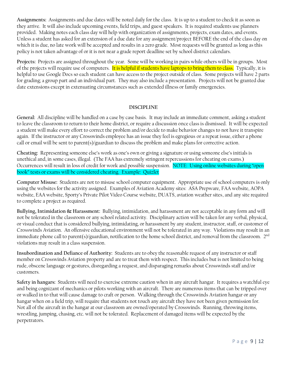**Assignments:** Assignments and due dates will be noted daily for the class. It is up to a student to check it as soon as they arrive. It will also include upcoming events, field trips, and guest speakers. It is required students use planners provided. Making notes each class day will help with organization of assignments, projects, exam dates, and events. Unless a student has asked for an extension of a due date for any assignment/project BEFORE the end of the class day on which it is due, no late work will be accepted and results in a zero grade. Most requests will be granted as long as this policy is not taken advantage of or it is not near a grade report deadline set by school district calendars.

**Projects:** Projects are assigned throughout the year. Some will be working in pairs while others will be in groups. Most of the projects will require use of computers. It is helpful if students have laptops to bring them to class. Typically, it is helpful to use Google Docs so each student can have access to the project outside of class. Some projects will have 2 parts for grading; a group part and an individual part. They may also include a presentation. Projects will not be granted due date extensions except in extenuating circumstances such as extended illness or family emergencies.

#### **DISCIPLINE**

**General:** All discipline will be handled on a case by case basis. It may include an immediate comment, asking a student to leave the classroom to return to their home district, or require a discussion once class is dismissed. It will be expected a student will make every effort to correct the problem and/or decide to make behavior changes to not have it transpire again. If the instructor or any Crosswinds employee has an issue they feel is egregious or a repeat issue, either a phone call or email will be sent to parent(s)/guardian to discuss the problem and make plans for corrective action.

**Cheating:** Representing someone else's work as one's own or giving a signature or using someone else's initials is unethical and, in some cases, illegal. (The FAA has extremely stringent repercussions for cheating on exams.) Occurrences will result in loss of credit for work and possible suspension. NOTE: Using online websites during "open book" tests or exams will be considered cheating. Example: Quizlet

**Computer Misuse:** Students are not to misuse school computer equipment. Appropriate use of school computers is only using the websites for the activity assigned. Examples of Aviation Academy sites: ASA Prepware, FAA website, AOPA website, EAA website, Sporty's Private Pilot Video Course website, DUATS, aviation weather sites, and any site required to complete a project as required.

**Bullying, Intimidation & Harassment:** Bullying, intimidation, and harassment are not acceptable in any form and will not be tolerated in the classroom or any school related activity. Disciplinary action will be taken for any verbal, physical, or visual conduct that is considered bullying, intimidating, or harassment by any student, instructor, staff, or customer of Crosswinds Aviation. An offensive educational environment will not be tolerated in any way. Violations may result in an immediate phone call to parent(s)/guardian, notification to the home school district, and removal from the classroom.  $2^{\rm nd}$ violations may result in a class suspension.

**Insubordination and Defiance of Authority:** Students are to obey the reasonable request of any instructor or staff member on Crosswinds Aviation property and are to treat them with respect. This includes but is not limited to being rude, obscene language or gestures, disregarding a request, and disparaging remarks about Crosswinds staff and/or customers.

**Safety in hangars:** Students will need to exercise extreme caution when in any aircraft hangar. It requires a watchful eye and being cognizant of mechanics or pilots working with an aircraft. There are numerous items that can be tripped over or walked in to that will cause damage to craft or person. Walking through the Crosswinds Aviation hangar or any hangar when on a field trip, will require that students not touch any aircraft they have not been given permission for. Not all of the aircraft in the hangar at our classroom are owned/operated by Crosswinds. Running, throwing items, wrestling, jumping, chasing, etc. will not be tolerated. Replacement of damaged items will be expected by the perpetrators.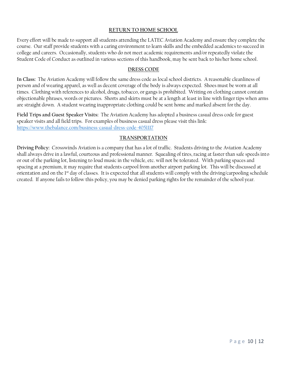#### **RETURN TO HOME SCHOOL**

Every effort will be made to support all students attending the LATEC Aviation Academy and ensure they complete the course. Our staff provide students with a caring environment to learn skills and the embedded academics to succeed in college and careers. Occasionally, students who do not meet academic requirements and/or repeatedly violate the Student Code of Conduct as outlined in various sections of this handbook, may be sent back to his/her home school.

#### **DRESS CODE**

**In Class:** The Aviation Academy will follow the same dress code as local school districts. A reasonable cleanliness of person and of wearing apparel, as well as decent coverage of the body is always expected. Shoes must be worn at all times. Clothing with references to alcohol, drugs, tobacco, or gangs is prohibited. Writing on clothing cannot contain objectionable phrases, words or pictures. Shorts and skirts must be at a length at least in line with finger tips when arms are straight down. A student wearing inappropriate clothing could be sent home and marked absent for the day.

**Field Trips and Guest Speaker Visits:** The Aviation Academy has adopted a business casual dress code for guest speaker visits and all field trips. For examples of business casual dress please visit this link: <https://www.thebalance.com/business-casual-dress-code-4051117>

#### **TRANSPORTATION**

**Driving Policy:** Crosswinds Aviation is a company that has a lot of traffic. Students driving to the Aviation Academy shall always drive in a lawful, courteous and professional manner. Squealing of tires, racing at faster than safe speeds into or out of the parking lot, listening to loud music in the vehicle, etc. will not be tolerated. With parking spaces and spacing at a premium, it may require that students carpool from another airport parking lot. This will be discussed at orientation and on the 1<sup>st</sup> day of classes. It is expected that all students will comply with the driving/carpooling schedule created. If anyone fails to follow this policy, you may be denied parking rights for the remainder of the school year.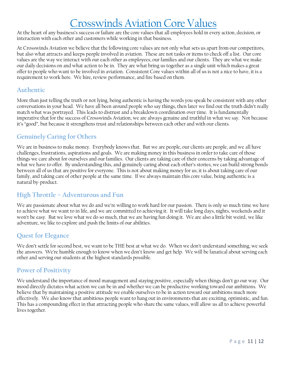# Crosswinds Aviation Core Values

At the heart of any business's success or failure are the core values that all employees hold in every action, decision, or interaction with each other and customers while working in that business.

At Crosswinds Aviation we believe that the following core values are not only what sets us apart from our competitors, but also what attracts and keeps people involved in aviation. These are not tasks or items to check off a list. Our core values are the way we interact with our each other as employees, our families and our clients. They are what we make our daily decisions on and what action to be in. They are what bring us together as a single unit which makes a great offer to people who want to be involved in aviation. Consistent Core values within all of us is not a nice to have, it is a requirement to work here. We hire, review performance, and fire based on them.

# **Authentic**

More than just telling the truth or not lying, being authentic is having the words you speak be consistent with any other conversations in your head. We have all been around people who say things, then later we find out the truth didn't really match what was portrayed. This leads to distrust and a breakdown coordination over time. It is fundamentally imperative that for the success of Crosswinds Aviation, we are always genuine and truthful in what we say. Not because it's "good", but because it strengthens trust and relationships between each other and with our clients.

# **Genuinely Caring for Others**

We are in business to make money. Everybody knows that. But we are people, our clients are people, and we all have challenges, frustrations, aspirations and goals. We are making money in this business in order to take care of those things we care about for ourselves and our families. Our clients are taking care of their concerns by taking advantage of what we have to offer. By understanding this, and genuinely caring about each other's stories, we can build strong bonds between all of us that are positive for everyone. This is not about making money for us; it is about taking care of our family, and taking care of other people at the same time. If we always maintain this core value, being authentic is a natural by-product.

# **High Throttle – Adventurous and Fun**

We are passionate about what we do and we're willing to work hard for our passion. There is only so much time we have to achieve what we want to in life, and we are committed to achieving it. It will take long days, nights, weekends and it won't be easy. But we love what we do so much, that we are having fun doing it. We are also a little bit weird, we like adventure, we like to explore and push the limits of our abilities.

# **Quest for Elegance**

We don't settle for second best, we want to be THE best at what we do. When we don't understand something, we seek the answers. We're humble enough to know when we don't know and get help. We will be fanatical about serving each other and serving our students at the highest standards possible.

# **Power of Positivity**

We understand the importance of mood management and staying positive, especially when things don't go our way. Our mood directly dictates what action we can be in and whether we can be productive working toward our ambitions. We believe that by maintaining a positive attitude we enable ourselves to be in action toward our ambitions much more effectively. We also know that ambitious people want to hang out in environments that are exciting, optimistic, and fun. This has a compounding effect in that attracting people who share the same values, will allow us all to achieve powerful lives together.